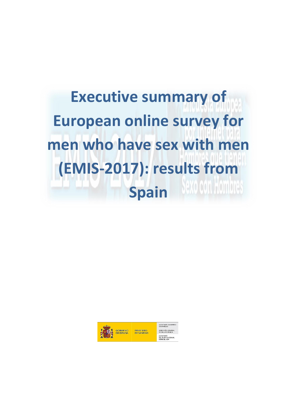**Executive summary of European online survey for men who have sex with men (EMIS-2017): results from**  Spain WWC01Hombres

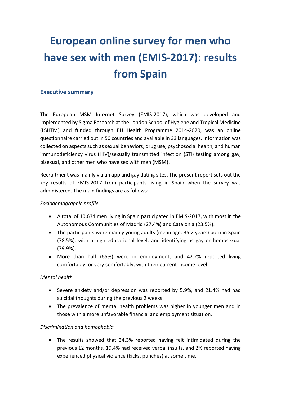# **European online survey for men who have sex with men (EMIS-2017): results from Spain**

# **Executive summary**

The European MSM Internet Survey (EMIS-2017), which was developed and implemented by Sigma Research at the London School of Hygiene and Tropical Medicine (LSHTM) and funded through EU Health Programme 2014-2020, was an online questionnaire carried out in 50 countries and available in 33 languages. Information was collected on aspects such as sexual behaviors, drug use, psychosocial health, and human immunodeficiency virus (HIV)/sexually transmitted infection (STI) testing among gay, bisexual, and other men who have sex with men (MSM).

Recruitment was mainly via an app and gay dating sites. The present report sets out the key results of EMIS-2017 from participants living in Spain when the survey was administered. The main findings are as follows:

### *Sociodemographic profile*

- A total of 10,634 men living in Spain participated in EMIS-2017, with most in the Autonomous Communities of Madrid (27.4%) and Catalonia (23.5%).
- The participants were mainly young adults (mean age, 35.2 years) born in Spain (78.5%), with a high educational level, and identifying as gay or homosexual (79.9%).
- More than half (65%) were in employment, and 42.2% reported living comfortably, or very comfortably, with their current income level.

### *Mental health*

- Severe anxiety and/or depression was reported by 5.9%, and 21.4% had had suicidal thoughts during the previous 2 weeks.
- The prevalence of mental health problems was higher in younger men and in those with a more unfavorable financial and employment situation.

#### *Discrimination and homophobia*

 The results showed that 34.3% reported having felt intimidated during the previous 12 months, 19.4% had received verbal insults, and 2% reported having experienced physical violence (kicks, punches) at some time.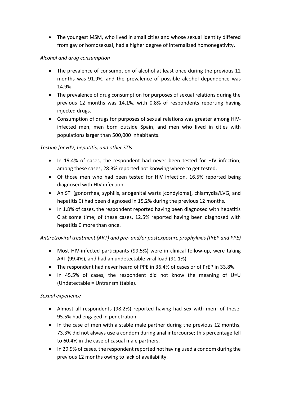The youngest MSM, who lived in small cities and whose sexual identity differed from gay or homosexual, had a higher degree of internalized homonegativity.

# *Alcohol and drug consumption*

- The prevalence of consumption of alcohol at least once during the previous 12 months was 91.9%, and the prevalence of possible alcohol dependence was 14.9%.
- The prevalence of drug consumption for purposes of sexual relations during the previous 12 months was 14.1%, with 0.8% of respondents reporting having injected drugs.
- Consumption of drugs for purposes of sexual relations was greater among HIVinfected men, men born outside Spain, and men who lived in cities with populations larger than 500,000 inhabitants.

# *Testing for HIV, hepatitis, and other STIs*

- In 19.4% of cases, the respondent had never been tested for HIV infection; among these cases, 28.3% reported not knowing where to get tested.
- Of those men who had been tested for HIV infection, 16.5% reported being diagnosed with HIV infection.
- An STI (gonorrhea, syphilis, anogenital warts [condyloma], chlamydia/LVG, and hepatitis C) had been diagnosed in 15.2% during the previous 12 months.
- In 1.8% of cases, the respondent reported having been diagnosed with hepatitis C at some time; of these cases, 12.5% reported having been diagnosed with hepatitis C more than once.

# *Antiretroviral treatment (ART) and pre- and/or postexposure prophylaxis (PrEP and PPE)*

- Most HIV-infected participants (99.5%) were in clinical follow-up, were taking ART (99.4%), and had an undetectable viral load (91.1%).
- The respondent had never heard of PPE in 36.4% of cases or of PrEP in 33.8%.
- In 45.5% of cases, the respondent did not know the meaning of U=U (Undetectable = Untransmittable).

### *Sexual experience*

- Almost all respondents (98.2%) reported having had sex with men; of these, 95.5% had engaged in penetration.
- In the case of men with a stable male partner during the previous 12 months, 73.3% did not always use a condom during anal intercourse; this percentage fell to 60.4% in the case of casual male partners.
- In 29.9% of cases, the respondent reported not having used a condom during the previous 12 months owing to lack of availability.